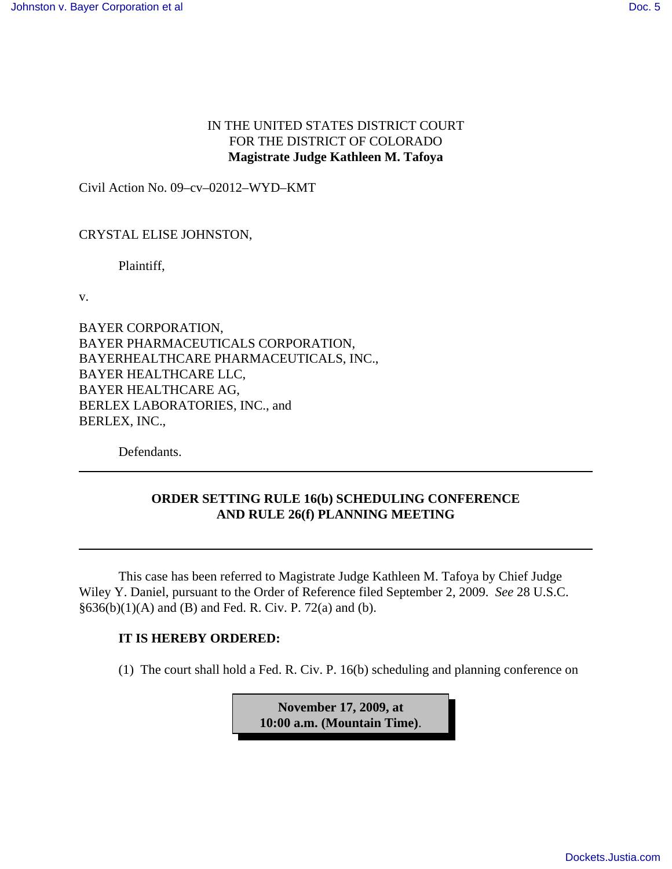## IN THE UNITED STATES DISTRICT COURT FOR THE DISTRICT OF COLORADO **Magistrate Judge Kathleen M. Tafoya**

Civil Action No. 09–cv–02012–WYD–KMT

## CRYSTAL ELISE JOHNSTON,

Plaintiff,

v.

BAYER CORPORATION, BAYER PHARMACEUTICALS CORPORATION, BAYERHEALTHCARE PHARMACEUTICALS, INC., BAYER HEALTHCARE LLC, BAYER HEALTHCARE AG, BERLEX LABORATORIES, INC., and BERLEX, INC.,

Defendants.

## **ORDER SETTING RULE 16(b) SCHEDULING CONFERENCE AND RULE 26(f) PLANNING MEETING**

This case has been referred to Magistrate Judge Kathleen M. Tafoya by Chief Judge Wiley Y. Daniel, pursuant to the Order of Reference filed September 2, 2009. *See* 28 U.S.C.  $§636(b)(1)(A)$  and (B) and Fed. R. Civ. P. 72(a) and (b).

## **IT IS HEREBY ORDERED:**

(1) The court shall hold a Fed. R. Civ. P. 16(b) scheduling and planning conference on

**November 17, 2009, at 10:00 a.m. (Mountain Time)**.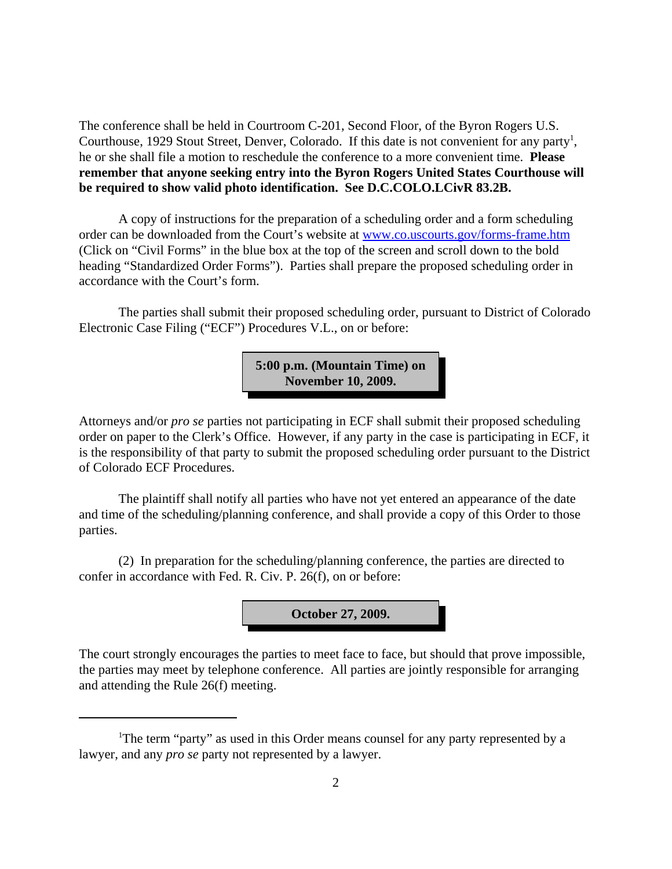The conference shall be held in Courtroom C-201, Second Floor, of the Byron Rogers U.S. Courthouse, 1929 Stout Street, Denver, Colorado. If this date is not convenient for any party<sup>1</sup>, he or she shall file a motion to reschedule the conference to a more convenient time. **Please remember that anyone seeking entry into the Byron Rogers United States Courthouse will be required to show valid photo identification. See D.C.COLO.LCivR 83.2B.**

A copy of instructions for the preparation of a scheduling order and a form scheduling order can be downloaded from the Court's website at www.co.uscourts.gov/forms-frame.htm (Click on "Civil Forms" in the blue box at the top of the screen and scroll down to the bold heading "Standardized Order Forms"). Parties shall prepare the proposed scheduling order in accordance with the Court's form.

The parties shall submit their proposed scheduling order, pursuant to District of Colorado Electronic Case Filing ("ECF") Procedures V.L., on or before:

> **5:00 p.m. (Mountain Time) on November 10, 2009.**

Attorneys and/or *pro se* parties not participating in ECF shall submit their proposed scheduling order on paper to the Clerk's Office. However, if any party in the case is participating in ECF, it is the responsibility of that party to submit the proposed scheduling order pursuant to the District of Colorado ECF Procedures.

The plaintiff shall notify all parties who have not yet entered an appearance of the date and time of the scheduling/planning conference, and shall provide a copy of this Order to those parties.

(2) In preparation for the scheduling/planning conference, the parties are directed to confer in accordance with Fed. R. Civ. P. 26(f), on or before:



The court strongly encourages the parties to meet face to face, but should that prove impossible, the parties may meet by telephone conference. All parties are jointly responsible for arranging and attending the Rule 26(f) meeting.

<sup>&</sup>lt;sup>1</sup>The term "party" as used in this Order means counsel for any party represented by a lawyer, and any *pro se* party not represented by a lawyer.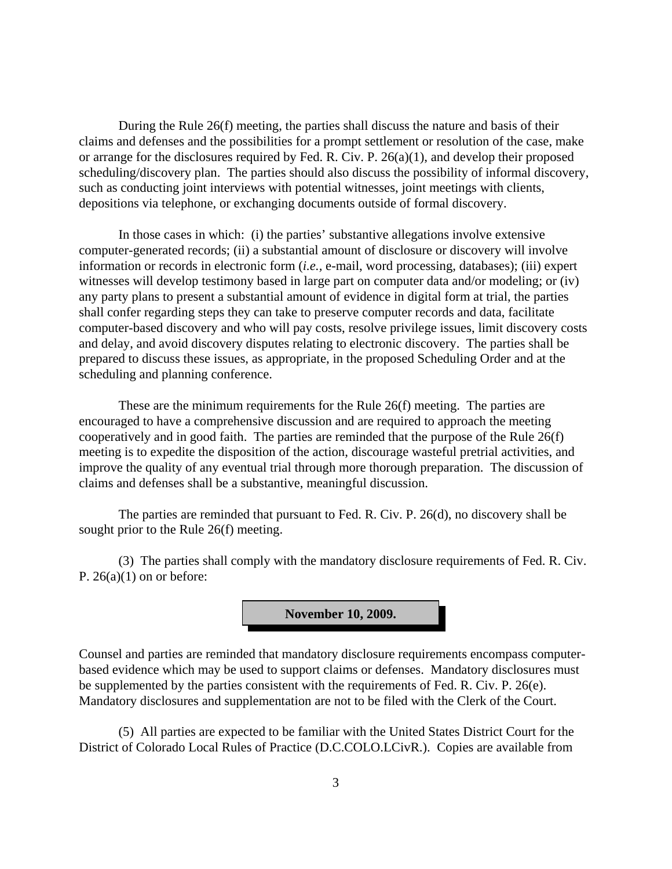During the Rule 26(f) meeting, the parties shall discuss the nature and basis of their claims and defenses and the possibilities for a prompt settlement or resolution of the case, make or arrange for the disclosures required by Fed. R. Civ. P. 26(a)(1), and develop their proposed scheduling/discovery plan. The parties should also discuss the possibility of informal discovery, such as conducting joint interviews with potential witnesses, joint meetings with clients, depositions via telephone, or exchanging documents outside of formal discovery.

In those cases in which: (i) the parties' substantive allegations involve extensive computer-generated records; (ii) a substantial amount of disclosure or discovery will involve information or records in electronic form (*i.e.,* e-mail, word processing, databases); (iii) expert witnesses will develop testimony based in large part on computer data and/or modeling; or (iv) any party plans to present a substantial amount of evidence in digital form at trial, the parties shall confer regarding steps they can take to preserve computer records and data, facilitate computer-based discovery and who will pay costs, resolve privilege issues, limit discovery costs and delay, and avoid discovery disputes relating to electronic discovery. The parties shall be prepared to discuss these issues, as appropriate, in the proposed Scheduling Order and at the scheduling and planning conference.

These are the minimum requirements for the Rule 26(f) meeting. The parties are encouraged to have a comprehensive discussion and are required to approach the meeting cooperatively and in good faith. The parties are reminded that the purpose of the Rule 26(f) meeting is to expedite the disposition of the action, discourage wasteful pretrial activities, and improve the quality of any eventual trial through more thorough preparation. The discussion of claims and defenses shall be a substantive, meaningful discussion.

The parties are reminded that pursuant to Fed. R. Civ. P. 26(d), no discovery shall be sought prior to the Rule 26(f) meeting.

(3) The parties shall comply with the mandatory disclosure requirements of Fed. R. Civ. P.  $26(a)(1)$  on or before:



Counsel and parties are reminded that mandatory disclosure requirements encompass computerbased evidence which may be used to support claims or defenses. Mandatory disclosures must be supplemented by the parties consistent with the requirements of Fed. R. Civ. P. 26(e). Mandatory disclosures and supplementation are not to be filed with the Clerk of the Court.

(5) All parties are expected to be familiar with the United States District Court for the District of Colorado Local Rules of Practice (D.C.COLO.LCivR.). Copies are available from